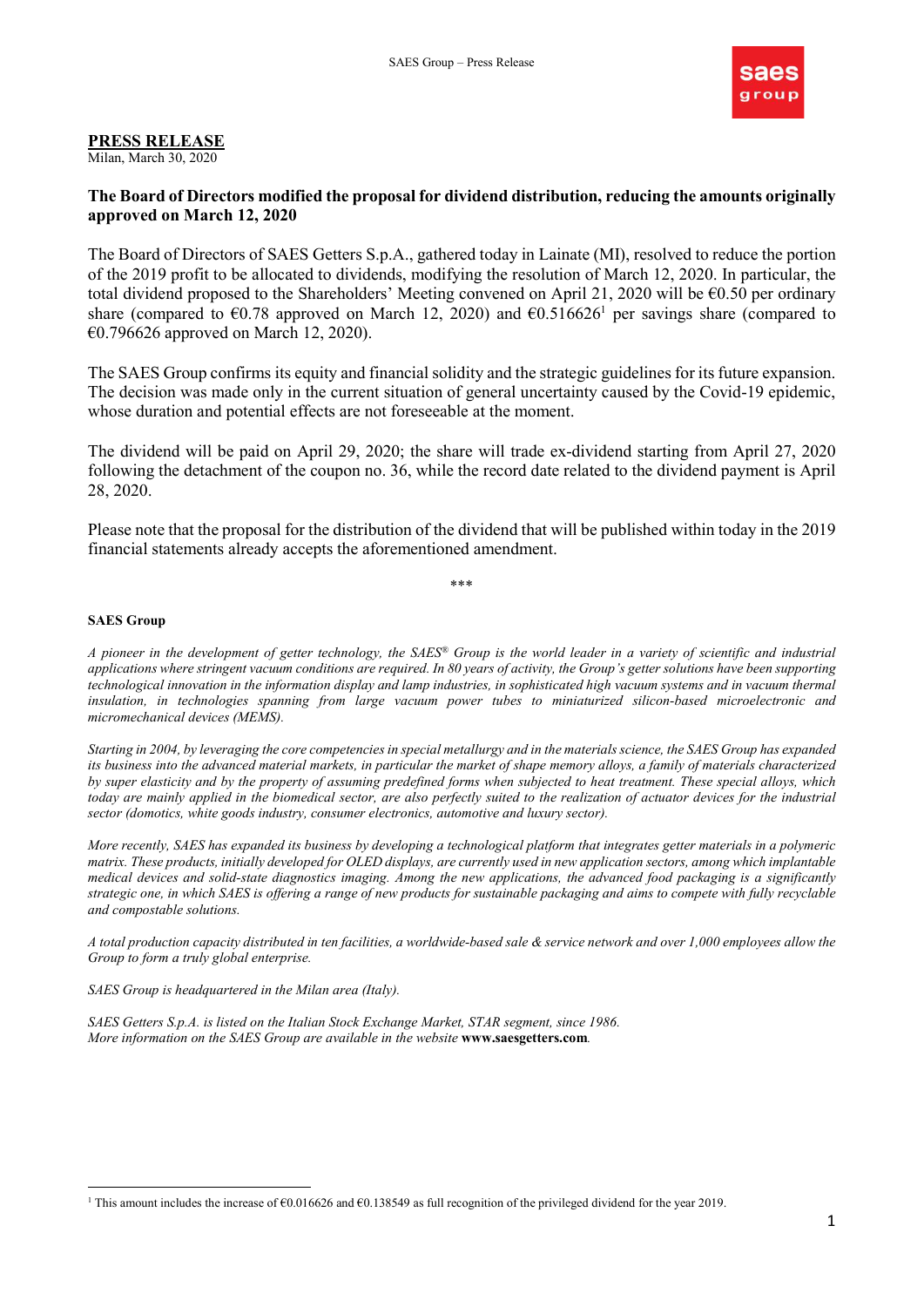

## PRESS RELEASE

Milan, March 30, 2020

## The Board of Directors modified the proposal for dividend distribution, reducing the amounts originally approved on March 12, 2020

The Board of Directors of SAES Getters S.p.A., gathered today in Lainate (MI), resolved to reduce the portion of the 2019 profit to be allocated to dividends, modifying the resolution of March 12, 2020. In particular, the total dividend proposed to the Shareholders' Meeting convened on April 21, 2020 will be €0.50 per ordinary share (compared to  $\epsilon$ 0.78 approved on March 12, 2020) and  $\epsilon$ 0.516626<sup>1</sup> per savings share (compared to €0.796626 approved on March 12, 2020).

The SAES Group confirms its equity and financial solidity and the strategic guidelines for its future expansion. The decision was made only in the current situation of general uncertainty caused by the Covid-19 epidemic, whose duration and potential effects are not foreseeable at the moment.

The dividend will be paid on April 29, 2020; the share will trade ex-dividend starting from April 27, 2020 following the detachment of the coupon no. 36, while the record date related to the dividend payment is April 28, 2020.

Please note that the proposal for the distribution of the dividend that will be published within today in the 2019 financial statements already accepts the aforementioned amendment.

\*\*\*

## SAES Group

A pioneer in the development of getter technology, the SAES® Group is the world leader in a variety of scientific and industrial applications where stringent vacuum conditions are required. In 80 years of activity, the Group's getter solutions have been supporting technological innovation in the information display and lamp industries, in sophisticated high vacuum systems and in vacuum thermal insulation, in technologies spanning from large vacuum power tubes to miniaturized silicon-based microelectronic and micromechanical devices (MEMS).

Starting in 2004, by leveraging the core competencies in special metallurgy and in the materials science, the SAES Group has expanded its business into the advanced material markets, in particular the market of shape memory alloys, a family of materials characterized by super elasticity and by the property of assuming predefined forms when subjected to heat treatment. These special alloys, which today are mainly applied in the biomedical sector, are also perfectly suited to the realization of actuator devices for the industrial sector (domotics, white goods industry, consumer electronics, automotive and luxury sector).

More recently, SAES has expanded its business by developing a technological platform that integrates getter materials in a polymeric matrix. These products, initially developed for OLED displays, are currently used in new application sectors, among which implantable medical devices and solid-state diagnostics imaging. Among the new applications, the advanced food packaging is a significantly strategic one, in which SAES is offering a range of new products for sustainable packaging and aims to compete with fully recyclable and compostable solutions.

A total production capacity distributed in ten facilities, a worldwide-based sale & service network and over 1,000 employees allow the Group to form a truly global enterprise.

SAES Group is headquartered in the Milan area (Italy).

SAES Getters S.p.A. is listed on the Italian Stock Exchange Market, STAR segment, since 1986. More information on the SAES Group are available in the website www.saesgetters.com.

<sup>-</sup><sup>1</sup> This amount includes the increase of  $\epsilon$ 0.016626 and  $\epsilon$ 0.138549 as full recognition of the privileged dividend for the year 2019.